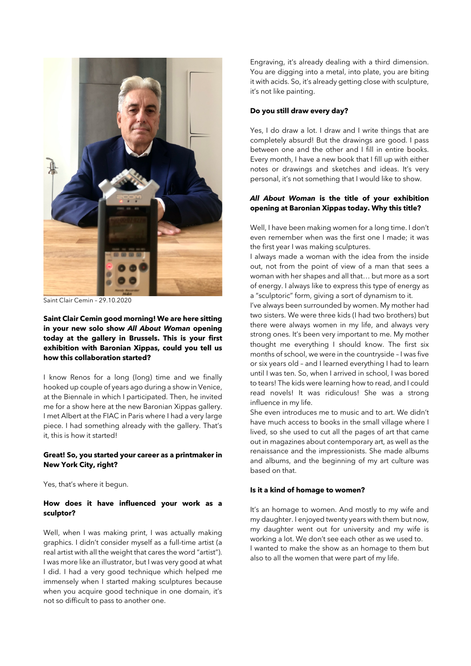

Saint Clair Cemin – 29.10.2020

**Saint Clair Cemin good morning! We are here sitting in your new solo show** *All About Woman* **opening today at the gallery in Brussels. This is your first exhibition with Baronian Xippas, could you tell us how this collaboration started?**

I know Renos for a long (long) time and we finally hooked up couple of years ago during a show in Venice, at the Biennale in which I participated. Then, he invited me for a show here at the new Baronian Xippas gallery. I met Albert at the FIAC in Paris where I had a very large piece. I had something already with the gallery. That's it, this is how it started!

# **Great! So, you started your career as a printmaker in New York City, right?**

Yes, that's where it begun.

### **How does it have influenced your work as a sculptor?**

Well, when I was making print, I was actually making graphics. I didn't consider myself as a full-time artist (a real artist with all the weight that cares the word "artist"). I was more like an illustrator, but I was very good at what I did. I had a very good technique which helped me immensely when I started making sculptures because when you acquire good technique in one domain, it's not so difficult to pass to another one.

Engraving, it's already dealing with a third dimension. You are digging into a metal, into plate, you are biting it with acids. So, it's already getting close with sculpture, it's not like painting.

#### **Do you still draw every day?**

Yes, I do draw a lot. I draw and I write things that are completely absurd! But the drawings are good. I pass between one and the other and I fill in entire books. Every month, I have a new book that I fill up with either notes or drawings and sketches and ideas. It's very personal, it's not something that I would like to show.

## *All About Woman* **is the title of your exhibition opening at Baronian Xippas today. Why this title?**

Well, I have been making women for a long time. I don't even remember when was the first one I made; it was the first year I was making sculptures.

I always made a woman with the idea from the inside out, not from the point of view of a man that sees a woman with her shapes and all that… but more as a sort of energy. I always like to express this type of energy as a "sculptoric" form, giving a sort of dynamism to it.

I've always been surrounded by women. My mother had two sisters. We were three kids (I had two brothers) but there were always women in my life, and always very strong ones. It's been very important to me. My mother thought me everything I should know. The first six months of school, we were in the countryside – I was five or six years old – and I learned everything I had to learn until I was ten. So, when I arrived in school, I was bored to tears! The kids were learning how to read, and I could read novels! It was ridiculous! She was a strong influence in my life.

She even introduces me to music and to art. We didn't have much access to books in the small village where I lived, so she used to cut all the pages of art that came out in magazines about contemporary art, as well as the renaissance and the impressionists. She made albums and albums, and the beginning of my art culture was based on that.

## **Is it a kind of homage to women?**

It's an homage to women. And mostly to my wife and my daughter. I enjoyed twenty years with them but now, my daughter went out for university and my wife is working a lot. We don't see each other as we used to. I wanted to make the show as an homage to them but also to all the women that were part of my life.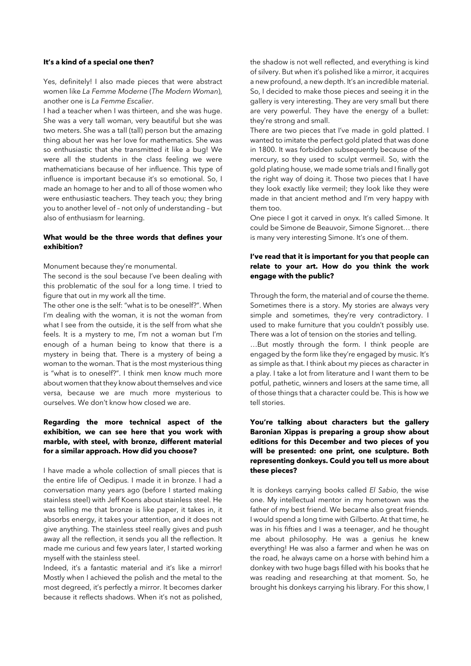#### **It's a kind of a special one then?**

Yes, definitely! I also made pieces that were abstract women like *La Femme Moderne* (*The Modern Woman*), another one is *La Femme Escalier*.

I had a teacher when I was thirteen, and she was huge. She was a very tall woman, very beautiful but she was two meters. She was a tall (tall) person but the amazing thing about her was her love for mathematics. She was so enthusiastic that she transmitted it like a bug! We were all the students in the class feeling we were mathematicians because of her influence. This type of influence is important because it's so emotional. So, I made an homage to her and to all of those women who were enthusiastic teachers. They teach you; they bring you to another level of – not only of understanding – but also of enthusiasm for learning.

## **What would be the three words that defines your exhibition?**

Monument because they're monumental.

The second is the soul because I've been dealing with this problematic of the soul for a long time. I tried to figure that out in my work all the time.

The other one is the self: "what is to be oneself?". When I'm dealing with the woman, it is not the woman from what I see from the outside, it is the self from what she feels. It is a mystery to me, I'm not a woman but I'm enough of a human being to know that there is a mystery in being that. There is a mystery of being a woman to the woman. That is the most mysterious thing is "what is to oneself?". I think men know much more about women that they know about themselves and vice versa, because we are much more mysterious to ourselves. We don't know how closed we are.

# **Regarding the more technical aspect of the exhibition, we can see here that you work with marble, with steel, with bronze, different material for a similar approach. How did you choose?**

I have made a whole collection of small pieces that is the entire life of Oedipus. I made it in bronze. I had a conversation many years ago (before I started making stainless steel) with Jeff Koens about stainless steel. He was telling me that bronze is like paper, it takes in, it absorbs energy, it takes your attention, and it does not give anything. The stainless steel really gives and push away all the reflection, it sends you all the reflection. It made me curious and few years later, I started working myself with the stainless steel.

Indeed, it's a fantastic material and it's like a mirror! Mostly when I achieved the polish and the metal to the most degreed, it's perfectly a mirror. It becomes darker because it reflects shadows. When it's not as polished, the shadow is not well reflected, and everything is kind of silvery. But when it's polished like a mirror, it acquires a new profound, a new depth. It's an incredible material. So, I decided to make those pieces and seeing it in the gallery is very interesting. They are very small but there are very powerful. They have the energy of a bullet: they're strong and small.

There are two pieces that I've made in gold platted. I wanted to imitate the perfect gold plated that was done in 1800. It was forbidden subsequently because of the mercury, so they used to sculpt vermeil. So, with the gold plating house, we made some trials and I finally got the right way of doing it. Those two pieces that I have they look exactly like vermeil; they look like they were made in that ancient method and I'm very happy with them too.

One piece I got it carved in onyx. It's called Simone. It could be Simone de Beauvoir, Simone Signoret… there is many very interesting Simone. It's one of them.

# **I've read that it is important for you that people can relate to your art. How do you think the work engage with the public?**

Through the form, the material and of course the theme. Sometimes there is a story. My stories are always very simple and sometimes, they're very contradictory. I used to make furniture that you couldn't possibly use. There was a lot of tension on the stories and telling.

…But mostly through the form. I think people are engaged by the form like they're engaged by music. It's as simple as that. I think about my pieces as character in a play. I take a lot from literature and I want them to be potful, pathetic, winners and losers at the same time, all of those things that a character could be. This is how we tell stories.

# **You're talking about characters but the gallery Baronian Xippas is preparing a group show about editions for this December and two pieces of you will be presented: one print, one sculpture. Both representing donkeys. Could you tell us more about these pieces?**

It is donkeys carrying books called *El Sabio*, the wise one. My intellectual mentor in my hometown was the father of my best friend. We became also great friends. I would spend a long time with Gilberto. At that time, he was in his fifties and I was a teenager, and he thought me about philosophy. He was a genius he knew everything! He was also a farmer and when he was on the road, he always came on a horse with behind him a donkey with two huge bags filled with his books that he was reading and researching at that moment. So, he brought his donkeys carrying his library. For this show, I